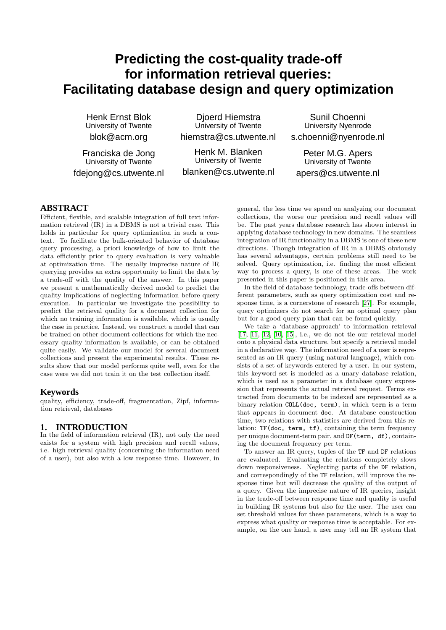# **Predicting the cost-quality trade-off for information retrieval queries: Facilitating database design and query optimization**

Henk Ernst Blok University of Twente

blok@acm.org

Franciska de Jong University of Twente fdejong@cs.utwente.nl

Djoerd Hiemstra University of Twente hiemstra@cs.utwente.nl

Henk M. Blanken University of Twente blanken@cs.utwente.nl

Sunil Choenni University Nyenrode s.choenni@nyenrode.nl

Peter M.G. Apers University of Twente apers@cs.utwente.nl

# **ABSTRACT**

Efficient, flexible, and scalable integration of full text information retrieval (IR) in a DBMS is not a trivial case. This holds in particular for query optimization in such a context. To facilitate the bulk-oriented behavior of database query processing, a priori knowledge of how to limit the data efficiently prior to query evaluation is very valuable at optimization time. The usually imprecise nature of IR querying provides an extra opportunity to limit the data by a trade-off with the quality of the answer. In this paper we present a mathematically derived model to predict the quality implications of neglecting information before query execution. In particular we investigate the possibility to predict the retrieval quality for a document collection for which no training information is available, which is usually the case in practice. Instead, we construct a model that can be trained on other document collections for which the necessary quality information is available, or can be obtained quite easily. We validate our model for several document collections and present the experimental results. These results show that our model performs quite well, even for the case were we did not train it on the test collection itself.

# **Keywords**

quality, efficiency, trade-off, fragmentation, Zipf, information retrieval, databases

# **1. INTRODUCTION**

In the field of information retrieval (IR), not only the need exists for a system with high precision and recall values, i.e. high retrieval quality (concerning the information need of a user), but also with a low response time. However, in

general, the less time we spend on analyzing our document collections, the worse our precision and recall values will be. The past years database research has shown interest in applying database technology in new domains. The seamless integration of IR functionality in a DBMS is one of these new directions. Though integration of IR in a DBMS obviously has several advantages, certain problems still need to be solved. Query optimization, i.e. finding the most efficient way to process a query, is one of these areas. The work presented in this paper is positioned in this area.

In the field of database technology, trade-offs between different parameters, such as query optimization cost and response time, is a cornerstone of research [\[27](#page-7-0)]. For example, query optimizers do not search for an optimal query plan but for a good query plan that can be found quickly.

We take a 'database approach' to information retrieval [\[17,](#page-7-1) [11](#page-7-2), [12](#page-7-3), [10,](#page-7-4) [15](#page-7-5)], i.e., we do not tie our retrieval model onto a physical data structure, but specify a retrieval model in a declarative way. The information need of a user is represented as an IR query (using natural language), which consists of a set of keywords entered by a user. In our system, this keyword set is modeled as a unary database relation, which is used as a parameter in a database query expression that represents the actual retrieval request. Terms extracted from documents to be indexed are represented as a binary relation COLL(doc, term), in which term is a term that appears in document doc. At database construction time, two relations with statistics are derived from this relation: TF(doc, term, tf), containing the term frequency per unique document-term pair, and DF(term, df), containing the document frequency per term.

To answer an IR query, tuples of the TF and DF relations are evaluated. Evaluating the relations completely slows down responsiveness. Neglecting parts of the DF relation, and correspondingly of the TF relation, will improve the response time but will decrease the quality of the output of a query. Given the imprecise nature of IR queries, insight in the trade-off between response time and quality is useful in building IR systems but also for the user. The user can set threshold values for these parameters, which is a way to express what quality or response time is acceptable. For example, on the one hand, a user may tell an IR system that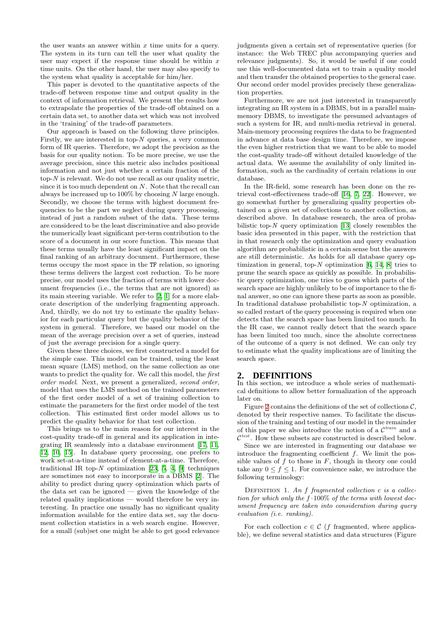the user wants an answer within  $x$  time units for a query. The system in its turn can tell the user what quality the user may expect if the response time should be within  $x$ time units. On the other hand, the user may also specify to the system what quality is acceptable for him/her.

This paper is devoted to the quantitative aspects of the trade-off between response time and output quality in the context of information retrieval. We present the results how to extrapolate the properties of the trade-off obtained on a certain data set, to another data set which was not involved in the 'training' of the trade-off parameters.

Our approach is based on the following three principles. Firstly, we are interested in top- $N$  queries, a very common form of IR queries. Therefore, we adopt the precision as the basis for our quality notion. To be more precise, we use the average precision, since this metric also includes positional information and not just whether a certain fraction of the  $\text{top-}N$  is relevant. We do not use recall as our quality metric, since it is too much dependent on  $N$ . Note that the recall can always be increased up to  $100\%$  by choosing N large enough. Secondly, we choose the terms with highest document frequencies to be the part we neglect during query processing, instead of just a random subset of the data. These terms are considered to be the least discriminative and also provide the numerically least significant per-term contribution to the score of a document in our score function. This means that these terms usually have the least significant impact on the final ranking of an arbitrary document. Furthermore, these terms occupy the most space in the TF relation, so ignoring these terms delivers the largest cost reduction. To be more precise, our model uses the fraction of terms with lower document frequencies (i.e., the terms that are not ignored) as its main steering variable. We refer to [\[2,](#page-7-6) [1\]](#page-7-7) for a more elaborate description of the underlying fragmenting approach. And, thirdly, we do not try to estimate the quality behavior for each particular query but the quality behavior of the system in general. Therefore, we based our model on the mean of the average precision over a set of queries, instead of just the average precision for a single query.

Given these three choices, we first constructed a model for the simple case. This model can be trained, using the least mean square (LMS) method, on the same collection as one wants to predict the quality for. We call this model, the first order model. Next, we present a generalized, second order, model that uses the LMS method on the trained parameters of the first order model of a set of training collection to estimate the parameters for the first order model of the test collection. This estimated first order model allows us to predict the quality behavior for that test collection.

This brings us to the main reason for our interest in the cost-quality trade-off in general and its application in integrating IR seamlessly into a database environment[[17](#page-7-1), [11](#page-7-2), [12](#page-7-3), [10](#page-7-4), [15\]](#page-7-5). In database query processing, one prefers to work set-at-a-time instead of element-at-a-time. Therefore, traditionalIR top- $N$  optimization [[23,](#page-7-8) [5](#page-7-9), [4,](#page-7-10) [9](#page-7-11)] techniques are sometimes not easy to incorporate in a DBMS[[2](#page-7-6)]. The ability to predict during query optimization which parts of the data set can be ignored — given the knowledge of the related quality implications — would therefore be very interesting. In practice one usually has no significant quality information available for the entire data set, say the document collection statistics in a web search engine. However, for a small (sub)set one might be able to get good relevance

judgments given a certain set of representative queries (for instance: the Web TREC plus accompanying queries and relevance judgments). So, it would be useful if one could use this well-documented data set to train a quality model and then transfer the obtained properties to the general case. Our second order model provides precisely these generalization properties.

Furthermore, we are not just interested in transparently integrating an IR system in a DBMS, but in a parallel mainmemory DBMS, to investigate the presumed advantages of such a system for IR, and multi-media retrieval in general. Main-memory processing requires the data to be fragmented in advance at data base design time. Therefore, we impose the even higher restriction that we want to be able to model the cost-quality trade-off without detailed knowledge of the actual data. We assume the availability of only limited information, such as the cardinality of certain relations in our database.

In the IR-field, some research has been done on the retrieval cost-effectiveness trade-off[[16](#page-7-12), [7](#page-7-13), [22\]](#page-7-14). However, we go somewhat further by generalizing quality properties obtained on a given set of collections to another collection, as described above. In database research, the area of probabilistic top-N query optimization[[13](#page-7-15)] closely resembles the basic idea presented in this paper, with the restriction that in that research only the optimization and query evaluation algorithm are probabilistic in a certain sense but the answers are still deterministic. As holds for all database query optimizationin general, top- $N$  optimization [[6,](#page-7-16) [14,](#page-7-17) [8](#page-7-18)] tries to prune the search space as quickly as possible. In probabilistic query optimization, one tries to guess which parts of the search space are highly unlikely to be of importance to the final answer, so one can ignore these parts as soon as possible. In traditional database probabilistic top-N optimization, a so called restart of the query processing is required when one detects that the search space has been limited too much. In the IR case, we cannot really detect that the search space has been limited too much, since the absolute correctness of the outcome of a query is not defined. We can only try to estimate what the quality implications are of limiting the search space.

# <span id="page-1-0"></span>**2. DEFINITIONS**

In this section, we introduce a whole series of mathematical definitions to allow better formalization of the approach later on.

Figure [2](#page-2-0) contains the definitions of the set of collections  $\mathcal{C}$ , denoted by their respective names. To facilitate the discussion of the training and testing of our model in the remainder of this paper we also introduce the notion of a  $\mathcal{C}^{train}$  and a  $\mathcal{C}^{test}$ . How these subsets are constructed is described below.

Since we are interested in fragmenting our database we introduce the fragmenting coefficient  $f$ . We limit the possible values of  $f$  to those in  $F$ , though in theory one could take any  $0 \le f \le 1$ . For convenience sake, we introduce the following terminology:

DEFINITION 1. An  $f$  fragmented collection  $c$  is a collection for which only the  $f \cdot 100\%$  of the terms with lowest document frequency are taken into consideration during query evaluation (i.e. ranking).

For each collection  $c \in \mathcal{C}$  (f fragmented, where applicable), we define several statistics and data structures (Figure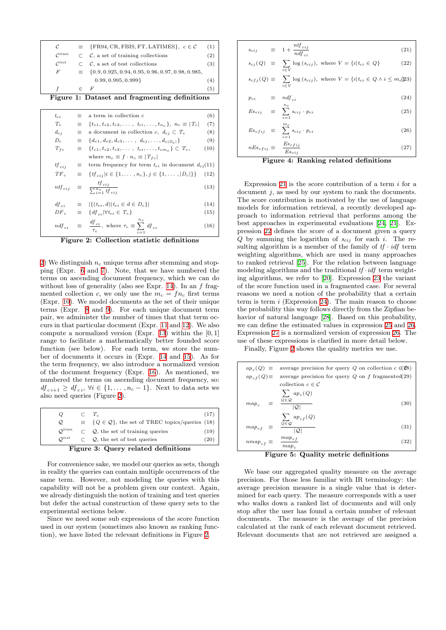|                       |           | $\overline{F}$                                          | (5) |
|-----------------------|-----------|---------------------------------------------------------|-----|
|                       |           |                                                         |     |
|                       |           | 0.99, 0.995, 0.999                                      | (4) |
| F                     | $\equiv$  | $\{0.9, 0.925, 0.94, 0.95, 0.96, 0.97, 0.98, 0.985,$    |     |
| $\mathcal{C}^{test}$  | $\subset$ | $\mathcal{C}$ , a set of test collections               | (3) |
| $\mathcal{C}^{train}$ |           | $\subset$ $\mathcal{C}$ , a set of training collections | (2) |
| C                     | $\equiv$  | $\{FR94, CR, FBIS, FT, LATIMES\}, c \in \mathcal{C}$    | (1) |
|                       |           |                                                         |     |

<span id="page-2-0"></span>Figure 1: Dataset and fragmenting definitions

<span id="page-2-2"></span>

| $t_{ci}$      |            | a term in collection $c$                                                                      | (6)  |
|---------------|------------|-----------------------------------------------------------------------------------------------|------|
| $T_c$         | $\equiv$ . | ${t_{c1}, t_{c2}, t_{c3}, \ldots, t_{ci}, \ldots, t_{n_c}}$ , $n_c \equiv  T_c $              | (7)  |
| $d_{c,i}$     | $=$        | a document in collection c, $d_{c_i} \subset T_c$                                             | (8)  |
| $D_c$         | $\equiv$   | $\{d_{c1}, d_{c2}, d_{c3}, \ldots, d_{cj}, \ldots, d_{c D_c }\}\$                             | (9)  |
| $T_{fc}$      |            | $\equiv \{t_{c1}, t_{c2}, t_{c3}, \ldots, t_{ci}, \ldots, t_{cm} \} \subset T_c,$             | (10) |
|               |            | where $m_c \equiv f \cdot n_c \equiv  T_{fc} $                                                |      |
| $t f_{c i j}$ | 三          | term frequency for term $t_{ci}$ in document $d_{ci}(11)$                                     |      |
| $TF_c$        |            | $\equiv \{tf_{cij} i\in\{1,\ldots,n_c\},j\in\{1,\ldots, D_c \}\}\$ (12)                       |      |
|               |            | $ntf_{cij} \equiv \frac{tf_{cij}}{\sum_{i=1}^{n_c} tf_{cij}}$                                 | (13) |
|               |            | $df_{ci} \equiv  \{(t_{ci}, d) t_{ci} \in d \in D_c\} $                                       | (14) |
|               |            | $DF_c$ $\equiv$ $\{df_{ci}   \forall t_{ci} \in T_c\}$                                        | (15) |
|               |            | $ndf_{ci} \equiv \frac{df_{ci}}{1}$ , where $\tau_c \equiv \sum_{i=1}^{n_c} df_{ci}$<br>$i=1$ | (16) |

<span id="page-2-1"></span>

[2](#page-2-1)) We distinguish  $n_c$  unique terms after stemming and stopping (Expr. [6](#page-2-2) and [7](#page-2-2)). Note, that we have numbered the terms on ascending document frequency, which we can do without loss of generality (also see Expr. [14](#page-2-2)). In an  $f$  fragmented collection c, we only use the  $m_c = fn_c$  first terms (Expr. [10](#page-2-2)). We model documents as the set of their unique terms (Expr. [8](#page-2-2) and [9](#page-2-2)). For each unique document term pair, we administer the number of times that that term occurs in that particular document (Expr. [11](#page-2-2) and [12](#page-2-2)). We also compute a normalized version (Expr. [13](#page-2-2)) within the  $[0, 1]$ range to facilitate a mathematically better founded score function (see below). For each term, we store the number of documents it occurs in (Expr. [14](#page-2-2) and [15](#page-2-2)). As for the term frequency, we also introduce a normalized version of the document frequency (Expr. [16\)](#page-2-2). As mentioned, we numbered the terms on ascending document frequency, so:  $df_{c,i+1} \geq df_{c,i}, \forall i \in \{1,\ldots,n_c-1\}.$  Next to data sets we also need queries (Figure [2](#page-2-3)).

| Q                                   | $\subset T_c$                                                         | (17) |  |  |
|-------------------------------------|-----------------------------------------------------------------------|------|--|--|
| Q.                                  | $\equiv \{Q \in \mathcal{Q}\}\$ , the set of TREC topics/queries (18) |      |  |  |
| $\mathcal{O}^{train}$               | $\subset$ Q, the set of training queries                              | (19) |  |  |
| $\mathcal{O}^{test}$                | $\subset$ Q, the set of test queries                                  | (20) |  |  |
| Figure 3: Query related definitions |                                                                       |      |  |  |

<span id="page-2-3"></span>For convenience sake, we model our queries as sets, though in reality the queries can contain multiple occurrences of the same term. However, not modeling the queries with this capability will not be a problem given our context. Again, we already distinguish the notion of training and test queries but defer the actual construction of these query sets to the experimental sections below.

Since we need some sub expressions of the score function used in our system (sometimes also known as ranking function), we have listed the relevant definitions in Figure [2](#page-2-4).

<span id="page-2-5"></span>
$$
s_{cij} \equiv 1 + \frac{ntf_{cij}}{ndf_{ci}} \tag{21}
$$

$$
s_{cj}(Q) \equiv \sum_{i \in V} \log(s_{cij}), \text{ where } V = \{i | t_{ci} \in Q\}
$$
 (22)

$$
s_{cfj}(Q) \equiv \sum_{i \in V} \log(s_{cij}), \text{ where } V = \{i | t_{ci} \in Q \land i \leq m_c(23)
$$

$$
p_{ci} \equiv ndf_{ci} \tag{24}
$$

$$
Es_{cij} \equiv \sum_{i=1}^{n_c} s_{cij} \cdot p_{ci} \tag{25}
$$

$$
Es_{cfij} \equiv \sum_{i=1}^{m_C} s_{cij} \cdot p_{ci} \tag{26}
$$

$$
nEs_{cfij} \equiv \frac{Es_{cfij}}{Es_{cij}} \tag{27}
$$

<span id="page-2-4"></span>Figure 4: Ranking related definitions

Expression [21](#page-2-5) is the score contribution of a term  $i$  for a document j, as used by our system to rank the documents. The score contribution is motivated by the use of language models for information retrieval, a recently developed approach to information retrieval that performs among the best approaches in experimental evaluations[[24,](#page-7-19) [21\]](#page-7-20). Expression [22](#page-2-5) defines the score of a document given a query Q by summing the logarithm of  $s_{cij}$  for each i. The resulting algorithm is a member of the family of  $tf \cdot idf$  term weighting algorithms, which are used in many approaches to ranked retrieval [\[25](#page-7-21)]. For the relation between language modeling algorithms and the traditional  $tf \cdot idf$  term weighting algorithms, we refer to[[20\]](#page-7-22). Expression [23](#page-2-5) the variant of the score function used in a fragmented case. For several reasons we need a notion of the probability that a certain term is term  $i$  (Expression [24](#page-2-5)). The main reason to choose the probability this way follows directly from the Zipfian behavior of natural language[[28\]](#page-7-23). Based on this probability, we can define the estimated values in expression [25](#page-2-5) and [26](#page-2-5). Expression [27](#page-2-5) is a normalized version of expression [26](#page-2-5). The use of these expressions is clarified in more detail below.

Finally, Figure [2](#page-2-6) shows the quality metrics we use.

<span id="page-2-7"></span>

|                     | $ap_c(Q) \equiv$ average precision for query Q on collection $c \in \{28\}$ |
|---------------------|-----------------------------------------------------------------------------|
| $ap_{cf}(Q) \equiv$ | average precision for query $Q$ on $f$ fragmented (29)                      |
|                     | collection $c \in \mathcal{C}$                                              |
| $map_c$             | $\sum$ ap <sub>c</sub> (Q)<br>$Q \in \mathcal{Q}$<br>(30)<br> O             |
| $map_{cf}$          | $\sum$ ap <sub>cf</sub> (Q)<br>$Q \in \mathcal{Q}$<br>(31)<br>$\sqrt{ }$    |

$$
m a p_{cf} \equiv \frac{m a p_{cf}}{m a p_{cf}} \tag{32}
$$

#### <span id="page-2-6"></span>Figure 5: Quality metric definitions

We base our aggregated quality measure on the average precision. For those less familiar with IR terminology: the average precision measure is a single value that is determined for each query. The measure corresponds with a user who walks down a ranked list of documents and will only stop after the user has found a certain number of relevant documents. The measure is the average of the precision calculated at the rank of each relevant document retrieved. Relevant documents that are not retrieved are assigned a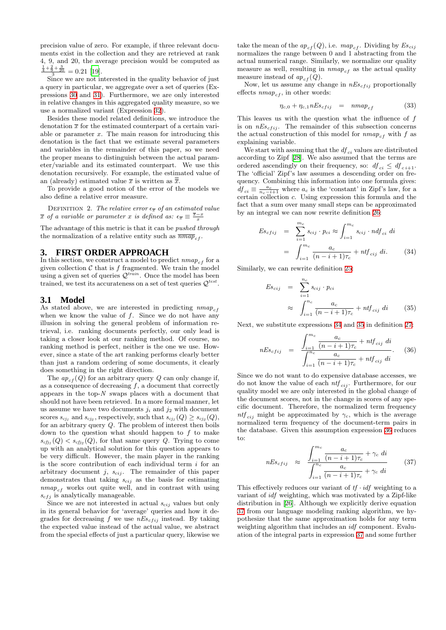precision value of zero. For example, if three relevant documents exist in the collection and they are retrieved at rank 4, 9, and 20, the average precision would be computed as  $\frac{\frac{1}{4} + \frac{2}{9} + \frac{3}{20}}{\frac{3}{2}} = 0.21$  [\[19\]](#page-7-24).

Since we are not interested in the quality behavior of just a query in particular, we aggregate over a set of queries (Expressions [30](#page-2-7) and [31](#page-2-7)). Furthermore, we are only interested in relative changes in this aggregated quality measure, so we use a normalized variant (Expression [32](#page-2-7)).

Besides these model related definitions, we introduce the denotation  $\bar{x}$  for the estimated counterpart of a certain variable or parameter  $x$ . The main reason for introducing this denotation is the fact that we estimate several parameters and variables in the remainder of this paper, so we need the proper means to distinguish between the actual parameter/variable and its estimated counterpart. We use this denotation recursively. For example, the estimated value of an (already) estimated value  $\bar{x}$  is written as  $\bar{\bar{x}}$ .

To provide a good notion of the error of the models we also define a relative error measure.

DEFINITION 2. The relative error  $\epsilon_{\overline{x}}$  of an estimated value  $\overline{x}$  of a variable or parameter x is defined as:  $\epsilon_{\overline{x}} \equiv \frac{\overline{x} - x}{x}$ 

The advantage of this metric is that it can be pushed through the normalization of a relative entity such as  $\overline{nmap}_{cf}$ .

# <span id="page-3-6"></span>**3. FIRST ORDER APPROACH**

In this section, we construct a model to predict  $nmap_{cf}$  for a given collection  $\mathcal C$  that is  $f$  fragmented. We train the model using a given set of queries  $\mathcal{Q}^{train}$ . Once the model has been trained, we test its accurateness on a set of test queries  $\mathcal{Q}^{test}$ .

#### **3.1 Model**

As stated above, we are interested in predicting  $nmap_{cf}$ when we know the value of  $f$ . Since we do not have any illusion in solving the general problem of information retrieval, i.e. ranking documents perfectly, our only lead is taking a closer look at our ranking method. Of course, no ranking method is perfect, neither is the one we use. However, since a state of the art ranking performs clearly better than just a random ordering of some documents, it clearly does something in the right direction.

The  $ap_{cf}(Q)$  for an arbitrary query Q can only change if, as a consequence of decreasing  $f$ , a document that correctly appears in the top- $N$  swaps places with a document that should not have been retrieved. In a more formal manner, let us assume we have two documents  $j_i$  and  $j_2$  with document scores  $s_{cj_1}$  and  $s_{cj_2}$ , respectively, such that  $s_{cj_1}(Q) \geq s_{cj_2}(Q)$ , for an arbitrary query Q. The problem of interest then boils down to the question what should happen to  $f$  to make  $s_{cjj_1}(Q) < s_{cjj_2}(Q)$ , for that same query Q. Trying to come up with an analytical solution for this question appears to be very difficult. However, the main player in the ranking is the score contribution of each individual term  $i$  for an arbitrary document  $j$ ,  $s_{cij}$ . The remainder of this paper demonstrates that taking  $s_{cij}$  as the basis for estimating  $nmap_{cf}$  works out quite well, and in contrast with using  $s_{cf}$  is analytically manageable.

Since we are not interested in actual  $s_{cij}$  values but only in its general behavior for 'average' queries and how it degrades for decreasing f we use  $nEs_{cfij}$  instead. By taking the expected value instead of the actual value, we abstract from the special effects of just a particular query, likewise we

take the mean of the  $ap_{cf}(Q)$ , i.e.  $map_{cf}$ . Dividing by  $Es_{cij}$ normalizes the range between 0 and 1 abstracting from the actual numerical range. Similarly, we normalize our quality measure as well, resulting in  $nmap_{cf}$  as the actual quality measure instead of  $ap_{cf}(Q)$ .

Now, let us assume any change in  $nEs_{cfij}$  proportionally effects  $nmap_{cf}$ , in other words:

<span id="page-3-4"></span>
$$
\eta_{c,0} + \eta_{c,1} nEs_{cfij} = nmap_{cf} \tag{33}
$$

This leaves us with the question what the influence of  $f$ is on  $nEs_{cfij}$ . The remainder of this subsection concerns the actual construction of this model for  $nmap_{cf}$  with f as explaining variable.

<span id="page-3-5"></span>We start with assuming that the  $df_{ci}$  values are distributed according to Zipf[[28\]](#page-7-23). We also assumed that the terms are ordered ascendingly on their frequency, so:  $df_{ci} \leq df_{ci+1}$ . The 'official' Zipf's law assumes a descending order on frequency. Combining this information into one formula gives:  $df_{ci} \equiv \frac{a_c}{n_c-i+1}$  where  $a_c$  is the 'constant' in Zipf's law, for a certain collection c. Using expression this formula and the fact that a sum over many small steps can be approximated by an integral we can now rewrite definition [26](#page-2-5):

<span id="page-3-0"></span>
$$
E_{Scfij} = \sum_{i=1}^{m_c} s_{cij} \cdot p_{ci} \approx \int_{i=1}^{m_c} s_{cij} \cdot ndf_{ci} \, di
$$

$$
= \int_{i=1}^{m_c} \frac{a_c}{(n-i+1)\tau_c} + ntf_{cij} \, di. \tag{34}
$$

Similarly, we can rewrite definition [25:](#page-2-5)

<span id="page-3-1"></span>
$$
Es_{cij} = \sum_{i=1}^{n_c} s_{cij} \cdot p_{ci}
$$
  
 
$$
\approx \int_{i=1}^{n_c} \frac{a_c}{(n-i+1)\tau_c} + ntf_{cij} \, di \qquad (35)
$$

Next, we substitute expressions [34](#page-3-0) and [35](#page-3-1) in definition [27](#page-2-5):

<span id="page-3-2"></span>
$$
nEs_{cfij} = \frac{\int_{i=1}^{m_c} \frac{a_c}{(n-i+1)\tau_c} + ntf_{cij} di}{\int_{i=1}^{n_c} \frac{a_c}{(n-i+1)\tau_c} + ntf_{cij} di}.
$$
 (36)

Since we do not want to do expensive database accesses, we do not know the value of each  $ntf_{cij}$ . Furthermore, for our quality model we are only interested in the global change of the document scores, not in the change in scores of any specific document. Therefore, the normalized term frequency ntf<sub>cij</sub> might be approximated by  $\gamma_c$ , which is the average normalized term frequency of the document-term pairs in the database. Given this assumption expression [36](#page-3-2) reduces to:

<span id="page-3-3"></span>
$$
nEs_{cfij} \approx \frac{\int_{i=1}^{m_c} \frac{a_c}{(n-i+1)\tau_c} + \gamma_c \, di}{\int_{i=1}^{n_c} \frac{a_c}{(n-i+1)\tau_c} + \gamma_c \, di}
$$
(37)

This effectively reduces our variant of  $tf \cdot idf$  weighting to a variant of idf weighting, which was motivated by a Zipf-like distribution in[[26\]](#page-7-25). Although we explicitly derive equation [37](#page-3-3) from our language modeling ranking algorithm, we hypothesize that the same approximation holds for any term weighting algorithm that includes an idf component. Evaluation of the integral parts in expression [37](#page-3-3) and some further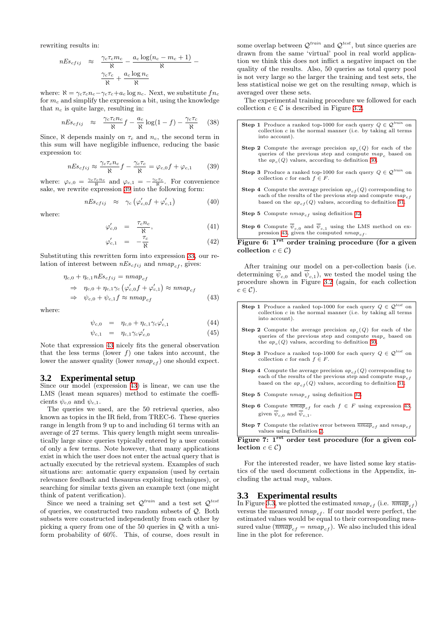rewriting results in:

$$
nEs_{cfij} \approx \frac{\gamma_c \tau_c m_c}{N} - \frac{a_c \log(n_c - m_c + 1)}{N} - \frac{\gamma_c \tau_c}{N} + \frac{a_c \log n_c}{N}
$$

where:  $\aleph = \gamma_c \tau_c n_c - \gamma_c \tau_c + a_c \log n_c$ . Next, we substitute  $fn_c$ for  $m_c$  and simplify the expression a bit, using the knowledge that  $n_c$  is quite large, resulting in:

$$
nEs_{cfij} \approx \frac{\gamma_c \tau_c n_c}{\aleph} f - \frac{a_c}{\aleph} \log(1 - f) - \frac{\gamma_c \tau_c}{\aleph} \quad (38)
$$

Since,  $\aleph$  depends mainly on  $\tau_c$  and  $n_c$ , the second term in this sum will have negligible influence, reducing the basic expression to:

$$
nEs_{cfij} \approx \frac{\gamma_c \tau_c n_c}{\aleph} f - \frac{\gamma_c \tau_c}{\aleph} = \varphi_{c,0} f + \varphi_{c,1} \tag{39}
$$

where:  $\varphi_{c,0} = \frac{\gamma_c \tau_c n_c}{8}$  and  $\varphi_{c,1} = -\frac{\gamma_c \tau_c}{8}$ . For convenience sake, we rewrite expression [39](#page-4-0) into the following form:

$$
nEs_{cfij} \approx \gamma_c \left( \varphi'_{c,0} f + \varphi'_{c,1} \right) \tag{40}
$$

where:

$$
\varphi'_{c,0} = \frac{\tau_c n_c}{\aleph}, \tag{41}
$$

<span id="page-4-5"></span>
$$
\varphi'_{c,1} = -\frac{\tau_c}{\aleph} \tag{42}
$$

Substituting this rewritten form into expression [33,](#page-3-4) our relation of interest between  $nEs_{cfij}$  and  $nmap_{cf}$ , gives:

<span id="page-4-1"></span>
$$
\eta_{c,0} + \eta_{c,1} nEs_{cfij} = nmap_{cf}
$$
\n
$$
\Rightarrow \eta_{c,0} + \eta_{c,1} \gamma_c \left( \varphi'_{c,0} f + \varphi'_{c,1} \right) \approx nmap_{cf}
$$
\n
$$
\Rightarrow \psi_{c,0} + \psi_{c,1} f \approx nmap_{cf}
$$
\n(43)

where:

$$
\psi_{c,0} = \eta_{c,0} + \eta_{c,1} \gamma_c \varphi'_{c,1} \tag{44}
$$

<span id="page-4-4"></span>
$$
\psi_{c,1} = \eta_{c,1} \gamma_c \varphi'_{c,0} \tag{45}
$$

Note that expression [43](#page-4-1) nicely fits the general observation that the less terms (lower  $f$ ) one takes into account, the lower the answer quality (lower  $nmap_{cf}$ ) one should expect.

#### <span id="page-4-6"></span>**3.2 Experimental setup**

Since our model (expression  $\overline{4}3$ ) is linear, we can use the LMS (least mean squares) method to estimate the coefficients  $\psi_{c,0}$  and  $\psi_{c,1}$ .

The queries we used, are the 50 retrieval queries, also known as topics in the IR field, from TREC-6. These queries range in length from 9 up to and including 61 terms with an average of 27 terms. This query length might seem unrealistically large since queries typically entered by a user consist of only a few terms. Note however, that many applications exist in which the user does not enter the actual query that is actually executed by the retrieval system. Examples of such situations are: automatic query expansion (used by certain relevance feedback and thesaurus exploiting techniques), or searching for similar texts given an example text (one might think of patent verification).

Since we need a training set  $\mathcal{Q}^{train}$  and a test set  $\mathcal{Q}^{test}$ of queries, we constructed two random subsets of Q. Both subsets were constructed independently from each other by picking a query from one of the 50 queries in Q with a uniform probability of 60%. This, of course, does result in

some overlap between  $\mathcal{Q}^{train}$  and  $\mathcal{Q}^{test}$ , but since queries are drawn from the same 'virtual' pool in real world application we think this does not inflict a negative impact on the quality of the results. Also, 50 queries as total query pool is not very large so the larger the training and test sets, the less statistical noise we get on the resulting nmap, which is averaged over these sets.

The experimental training procedure we followed for each collection  $c \in \mathcal{C}$  is described in Figure [3.2](#page-4-2).

- $\textbf{Step 1}$  Produce a ranked top-1000 for each query  $Q \in \mathcal{Q}^{train}$  on collection  $c$  in the normal manner (i.e. by taking all terms into account).
- **Step 2** Compute the average precision  $ap_c(Q)$  for each of the queries of the previous step and compute  $map_c$  based on the  $ap_c(Q)$  values, according to definition [30](#page-2-7).
- <span id="page-4-0"></span>**Step 3** Produce a ranked top-1000 for each query  $Q \in \mathcal{Q}^{train}$  on collection c for each  $f \in F$ .
- **Step 4** Compute the average precision  $ap_{cf}(Q)$  corresponding to each of the results of the previous step and compute  $map_{cf}$ based on the  $ap_{cf}(\mathbb Q)$  values, according to definition [31](#page-2-7).

Step 5 Compute  $nmap_{cf}$  using definition [32](#page-2-7).

**Step 6** Compute  $\psi_{c,0}$  and  $\psi_{c,1}$  using the LMS method on expression [43,](#page-4-1) given the computed  $nmap_{cf}$ .

## <span id="page-4-2"></span>Figure 6: 1<sup>rst</sup> order training procedure (for a given collection  $c \in \mathcal{C}$ )

After training our model on a per-collection basis (i.e. determining  $\psi_{c,0}$  and  $\psi_{c,1}$ , we tested the model using the procedure shown in Figure [3.2](#page-4-3) (again, for each collection  $c \in \mathcal{C}$ ).

- **Step 1** Produce a ranked top-1000 for each query  $Q \in \mathcal{Q}^{test}$  on collection  $c$  in the normal manner (i.e. by taking all terms into account).
- **Step 2** Compute the average precision  $ap_c(Q)$  for each of the queries of the previous step and compute  $map_c$  based on the  $ap_c(Q)$  values, according to definition [30](#page-2-7).
- **Step 3** Produce a ranked top-1000 for each query  $Q \in \mathcal{Q}^{test}$  on collection c for each  $f \in F$ .
- **Step 4** Compute the average precision  $ap_{cf}(Q)$  corresponding to each of the results of the previous step and compute  $map_{cf}$ based on the  $ap_{cf}(Q)$  values, according to definition [31](#page-2-7).
- Step 5 Compute  $nmap_{cf}$  using definition [32](#page-2-7).
- Step 6 Compute  $\overline{nmap}_{cf}$  for each  $f \in F$  using expression [43](#page-4-1), given  $\psi_{c,0}$  and  $\psi_{c,1}$ .
- **Step 7** Compute the relative error between  $\overline{mmap}_{cf}$  and  $nmap_{cf}$  values using Definition [2.](#page-3-5)

<span id="page-4-3"></span>Figure 7: 1<sup>rst</sup> order test procedure (for a given collection  $c \in \mathcal{C}$ 

For the interested reader, we have listed some key statistics of the used document collections in the Appendix, including the actual  $map_c$  values.

## <span id="page-4-7"></span>**3.3 Experimental results**

In Figure [3.3](#page-5-0), we plotted the estimated  $nmap_{cf}$  (i.e.  $\overline{nmap}_{cf}$ ) versus the measured  $nmap_{cf}$ . If our model were perfect, the estimated values would be equal to their corresponding measured value  $(\overline{mmap}_{cf} = nmap_{cf})$ . We also included this ideal line in the plot for reference.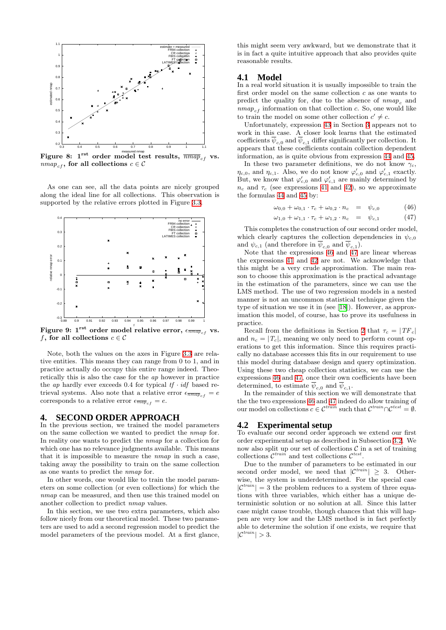

<span id="page-5-0"></span>Figure 8:  $1^{\text{rst}}$  order model test results,  $\overline{nmap}_{cf}$  vs. Figure 8: 1<sup>rst</sup> order model te<br>  $nmap_{cf}$ , for all collections  $c \in \mathcal{C}$ 

As one can see, all the data points are nicely grouped along the ideal line for all collections. This observation is supported by the relative errors plotted in Figure [3.3](#page-5-1).



<span id="page-5-1"></span>Figure 9:  $1^{\mathrm{rst}}$  order model relative error,  $\epsilon_{\overline{nmap}_{cf}}$  vs. f, for all collections  $c \in \mathcal{C}$ 

Note, both the values on the axes in Figure [3.3](#page-5-0) are relative entities. This means they can range from 0 to 1, and in practice actually do occupy this entire range indeed. Theoretically this is also the case for the ap however in practice the ap hardly ever exceeds 0.4 for typical  $tf \cdot idf$  based retrieval systems. Also note that a relative error  $\epsilon_{\overline{nmap}_{cf}} = e$ corresponds to a relative error  $\epsilon_{\overline{map}_{cf}} = e$ .

### **4. SECOND ORDER APPROACH**

In the previous section, we trained the model parameters on the same collection we wanted to predict the nmap for. In reality one wants to predict the nmap for a collection for which one has no relevance judgments available. This means that it is impossible to measure the nmap in such a case, taking away the possibility to train on the same collection as one wants to predict the nmap for.

In other words, one would like to train the model parameters on some collection (or even collections) for which the nmap can be measured, and then use this trained model on another collection to predict nmap values.

In this section, we use two extra parameters, which also follow nicely from our theoretical model. These two parameters are used to add a second regression model to predict the model parameters of the previous model. At a first glance,

this might seem very awkward, but we demonstrate that it is in fact a quite intuitive approach that also provides quite reasonable results.

#### **4.1 Model**

In a real world situation it is usually impossible to train the first order model on the same collection  $c$  as one wants to predict the quality for, due to the absence of  $nmap_c$  and  $nmap_{cf}$  information on that collection c. So, one would like to train the model on some other collection  $c' \neq c$ .

Unfortunately, expression [43](#page-4-1) in Section [3](#page-3-6) appears not to work in this case. A closer look learns that the estimated coefficients  $\overline{\psi}_{c,0}$  and  $\overline{\psi}_{c,1}$  differ significantly per collection. It appears that these coefficients contain collection dependent information, as is quite obvious from expression [44](#page-4-4) and [45](#page-4-4).

In these two parameter definitions, we do not know  $\gamma_c$ ,  $\eta_{c,0}$ , and  $\eta_{c,1}$ . Also, we do not know  $\varphi'_{c,0}$  and  $\varphi'_{c,1}$  exactly. But, we know that  $\varphi'_{c,0}$  and  $\varphi'_{c,1}$  are mainly determined by  $n_c$  and  $\tau_c$  (see expressions [41](#page-4-5) and [42](#page-4-5)), so we approximate the formulas [44](#page-4-4) and [45](#page-4-4) by:

$$
\omega_{0,0} + \omega_{0,1} \cdot \tau_c + \omega_{0,2} \cdot n_c = \psi_{c,0} \tag{46}
$$

<span id="page-5-2"></span>
$$
\omega_{1,0} + \omega_{1,1} \cdot \tau_c + \omega_{1,2} \cdot n_c = \psi_{c,1} \tag{47}
$$

This completes the construction of our second order model, which clearly captures the collection dependencies in  $\psi_{c,0}$ and  $\psi_{c,1}$  (and therefore in  $\psi_{c,0}$  and  $\psi_{c,1}$ ).

Note that the expressions [46](#page-5-2) and [47](#page-5-2) are linear whereas the expressions [41](#page-4-5) and [42](#page-4-5) are not. We acknowledge that this might be a very crude approximation. The main reason to choose this approximation is the practical advantage in the estimation of the parameters, since we can use the LMS method. The use of two regression models in a nested manner is not an uncommon statistical technique given the type of situation we use it in (see [\[18](#page-7-26)]). However, as approximation this model, of course, has to prove its usefulness in practice.

Recall from the definitions in Section [2](#page-1-0) that  $\tau_c = |TF_c|$ and  $n_c = |T_c|$ , meaning we only need to perform count operations to get this information. Since this requires practically no database accesses this fits in our requirement to use this model during database design and query optimization. Using these two cheap collection statistics, we can use the expressions [46](#page-5-2) and [47](#page-5-2), once their own coefficients have been determined, to estimate  $\psi_{c,0}$  and  $\psi_{c,1}$ .

In the remainder of this section we will demonstrate that the the two expressions [46](#page-5-2) and [47](#page-5-2) indeed do allow training of our model on collections  $c \in \mathcal{C}^{train}$  such that  $\mathcal{C}^{train} \cap \mathcal{C}^{test} = \emptyset$ .

#### **4.2 Experimental setup**

To evaluate our second order approach we extend our first order experimental setup as described in Subsection [3.2.](#page-4-6) We now also split up our set of collections  $\mathcal C$  in a set of training collections  $\mathcal{C}^{train}$  and test collections  $\mathcal{C}^{test}$ .

Due to the number of parameters to be estimated in our second order model, we need that  $|{\mathcal C}^{train}| \geq 3$ . Otherwise, the system is underdetermined. For the special case  $|\mathcal{C}^{train}| = 3$  the problem reduces to a system of three equations with three variables, which either has a unique deterministic solution or no solution at all. Since this latter case might cause trouble, though chances that this will happen are very low and the LMS method is in fact perfectly able to determine the solution if one exists, we require that  $|\mathcal{C}^{train}| > 3.$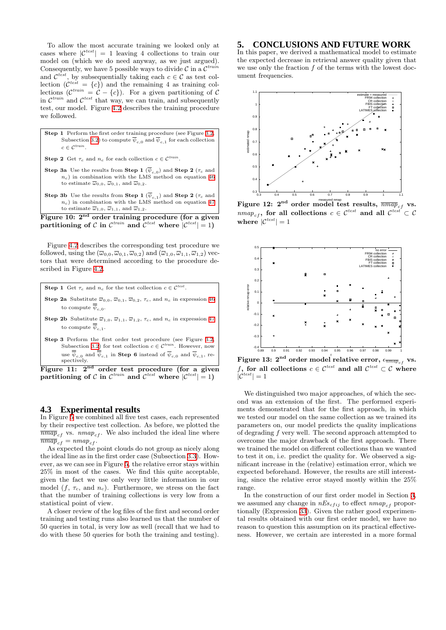To allow the most accurate training we looked only at cases where  $|C^{test}| = 1$  leaving 4 collections to train our model on (which we do need anyway, as we just argued). Consequently, we have 5 possible ways to divide  $\mathcal C$  in a  $\mathcal C^{train}$ and  $\mathcal{C}^{test}$ , by subsequentially taking each  $c \in \mathcal{C}$  as test collection  $(C^{test} = \{c\})$  and the remaining 4 as training collections  $(C^{train} = \mathcal{C} - \{c\})$ . For a given partitioning of C in  $\mathcal{C}^{train}$  and  $\mathcal{C}^{test}$  that way, we can train, and subsequently test, our model. Figure [4.2](#page-6-0) describes the training procedure we followed.

Step 1 Perform the first order training procedure (see Figure [3.2](#page-4-2), Subsection [3.2](#page-4-6)) to compute  $\psi_{c,0}$  and  $\psi_{c,1}$  for each collection  $c \in \mathcal{C}^{train}$ .

**Step 2** Get  $\tau_c$  and  $n_c$  for each collection  $c \in \mathcal{C}^{train}$ .

- Step 3a Use the results from Step 1  $(\psi_{c,0})$  and Step 2 ( $\tau_c$  and  $n_c$ ) in combination with the LMS method on equation [46](#page-5-2) to estimate  $\overline{\omega}_{0,0}, \overline{\omega}_{0,1}$ , and  $\overline{\omega}_{0,2}$ .
- **Step 3b** Use the results from **Step 1**  $(\psi_{c,1})$  and **Step 2**  $(\tau_c$  and  $n_c$ ) in combination with the LMS method on equation [47](#page-5-2) to estimate  $\overline{\omega}_{1,0}$ ,  $\overline{\omega}_{1,1}$ , and  $\overline{\omega}_{1,2}$ .

<span id="page-6-0"></span>Figure 10: 2<sup>nd</sup> order training procedure (for a given partitioning of C in  $\mathcal{C}^{train}$  and  $\mathcal{C}^{test}$  where  $|\mathcal{C}^{test}| = 1$ )

Figure [4.2](#page-6-1) describes the corresponding test procedure we followed, using the  $(\overline{\omega}_{0,0}, \overline{\omega}_{0,1}, \overline{\omega}_{0,2})$  and  $(\overline{\omega}_{1,0}, \overline{\omega}_{1,1}, \overline{\omega}_{1,2})$  vectors that were determined according to the procedure described in Figure [4.2.](#page-6-0)

**Step 1** Get 
$$
\tau_c
$$
 and  $n_c$  for the test collection  $c \in \mathcal{C}^{test}$ . **Step 2a** Substitute  $\overline{\omega}_{0,0}$ ,  $\overline{\omega}_{0,1}$ ,  $\overline{\omega}_{0,2}$ ,  $\tau_c$ , and  $n_c$  in expression 46 to compute  $\overline{\psi}_{c,0}$ . **Step 2b** Substitute  $\overline{\omega}_{1,0}$ ,  $\overline{\omega}_{1,1}$ ,  $\overline{\omega}_{1,2}$ ,  $\tau_c$ , and  $n_c$  in expression 47 to compute  $\overline{\overline{\psi}}_{c,1}$ . **Step 3** Perform the first order test procedure (see Figure 3.2, Theorem 10.11) for the first order test procedure (see Figure 3.2).

Subsection [3.2](#page-4-6)) for test collection  $c \in \mathcal{C}^{train}$ . However, now use  $\psi_{c,0}$  and  $\psi_{c,1}$  in Step 6 instead of  $\psi_{c,0}$  and  $\psi_{c,1}$ , respectively.

<span id="page-6-1"></span>

#### **4.3 Experimental results**

In Figure [5](#page-6-2) we combined all five test cases, each represented by their respective test collection. As before, we plotted the  $\overline{mmap}_{cf}$  vs.  $nmap_{cf}$ . We also included the ideal line where  $\overline{mmap}_{cf} = nmap_{cf}$ .

As expected the point clouds do not group as nicely along the ideal line as in the first order case (Subsection [3.3\)](#page-4-7). However, as we can see in Figure [5](#page-6-3), the relative error stays within 25% in most of the cases. We find this quite acceptable, given the fact we use only very little information in our model  $(f, \tau_c, \text{ and } n_c)$ . Furthermore, we stress on the fact that the number of training collections is very low from a statistical point of view.

A closer review of the log files of the first and second order training and testing runs also learned us that the number of 50 queries in total, is very low as well (recall that we had to do with these 50 queries for both the training and testing).

**5. CONCLUSIONS AND FUTURE WORK** In this paper, we derived a mathematical model to estimate the expected decrease in retrieval answer quality given that we use only the fraction  $f$  of the terms with the lowest document frequencies.



<span id="page-6-2"></span>Figure 12:  $2^{\text{nd}}$  order model test results,  $\overline{nmap}_{cf}$  vs.  $nmap_{cf}$ , for all collections  $c \in \mathcal{C}^{test}$  and all  $\mathcal{C}^{test} \subset \mathcal{C}$ where  $|\mathcal{C}^{test}| = 1$ 



<span id="page-6-3"></span>Figure 13:  $2^{\rm nd}$  order model relative error,  $\epsilon_{\overline{nmap}_{cf}}$  vs. f, for all collections  $c \in \mathcal{C}^{test}$  and all  $\mathcal{C}^{test} \subset \mathcal{C}$  where  $|\check{\mathcal{C}}^{test}| = 1$ 

We distinguished two major approaches, of which the second was an extension of the first. The performed experiments demonstrated that for the first approach, in which we tested our model on the same collection as we trained its parameters on, our model predicts the quality implications of degrading f very well. The second approach attempted to overcome the major drawback of the first approach. There we trained the model on different collections than we wanted to test it on, i.e. predict the quality for. We observed a significant increase in the (relative) estimation error, which we expected beforehand. However, the results are still interesting, since the relative error stayed mostly within the 25% range.

In the construction of our first order model in Section [3](#page-3-6), we assumed any change in  $nEs_{cfij}$  to effect  $nmap_{cf}$  proportionally (Expression [33](#page-3-4)). Given the rather good experimental results obtained with our first order model, we have no reason to question this assumption on its practical effectiveness. However, we certain are interested in a more formal